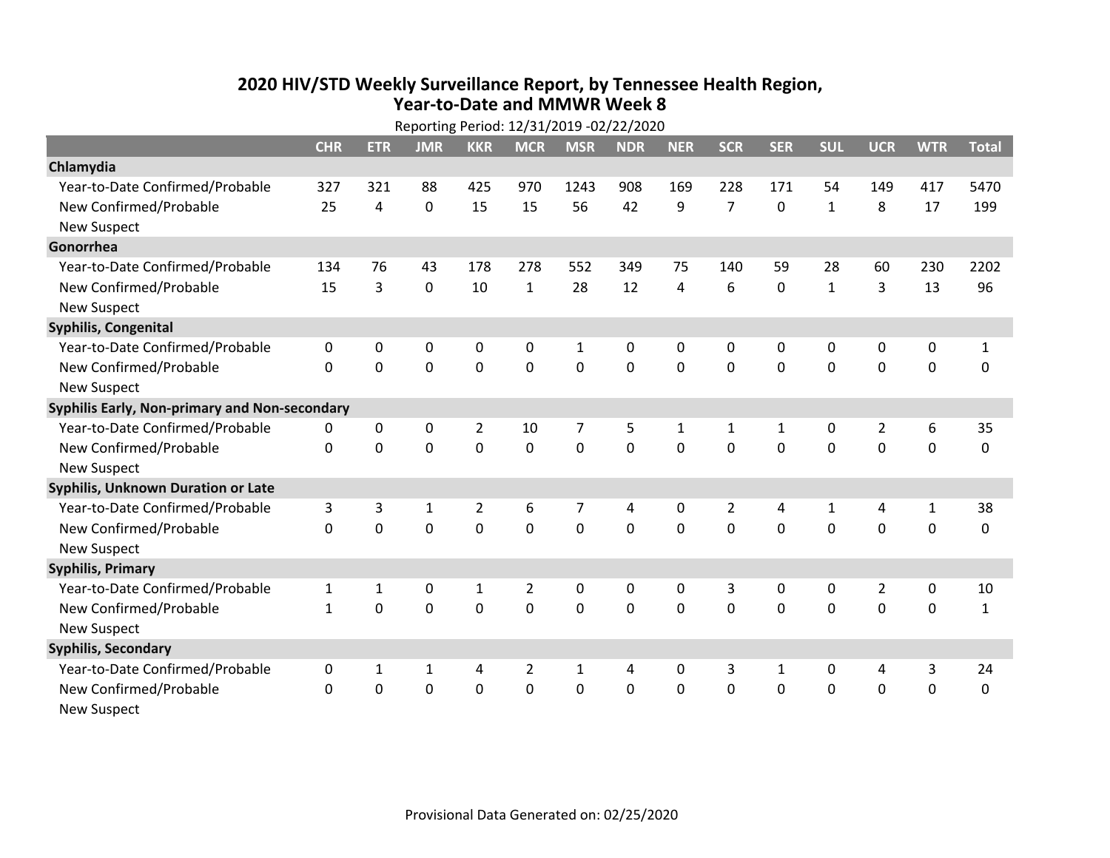## **2020 HIV /STD Weekly Surveillance Report, by Tennessee Health Region, Year‐to‐Date and MMWR Week 8**

| Reporting Period: 12/31/2019 -02/22/2020      |              |                |              |                |                |              |            |              |                |              |              |                |              |              |
|-----------------------------------------------|--------------|----------------|--------------|----------------|----------------|--------------|------------|--------------|----------------|--------------|--------------|----------------|--------------|--------------|
|                                               | <b>CHR</b>   | <b>ETR</b>     | <b>JMR</b>   | <b>KKR</b>     | <b>MCR</b>     | <b>MSR</b>   | <b>NDR</b> | <b>NER</b>   | <b>SCR</b>     | <b>SER</b>   | <b>SUL</b>   | <b>UCR</b>     | <b>WTR</b>   | <b>Total</b> |
| Chlamydia                                     |              |                |              |                |                |              |            |              |                |              |              |                |              |              |
| Year-to-Date Confirmed/Probable               | 327          | 321            | 88           | 425            | 970            | 1243         | 908        | 169          | 228            | 171          | 54           | 149            | 417          | 5470         |
| New Confirmed/Probable                        | 25           | $\overline{a}$ | 0            | 15             | 15             | 56           | 42         | 9            | $\overline{7}$ | $\mathbf 0$  | $\mathbf{1}$ | 8              | 17           | 199          |
| <b>New Suspect</b>                            |              |                |              |                |                |              |            |              |                |              |              |                |              |              |
| Gonorrhea                                     |              |                |              |                |                |              |            |              |                |              |              |                |              |              |
| Year-to-Date Confirmed/Probable               | 134          | 76             | 43           | 178            | 278            | 552          | 349        | 75           | 140            | 59           | 28           | 60             | 230          | 2202         |
| New Confirmed/Probable                        | 15           | $\overline{3}$ | 0            | 10             | $\mathbf{1}$   | 28           | 12         | 4            | 6              | $\mathbf 0$  | $\mathbf{1}$ | 3              | 13           | 96           |
| <b>New Suspect</b>                            |              |                |              |                |                |              |            |              |                |              |              |                |              |              |
| Syphilis, Congenital                          |              |                |              |                |                |              |            |              |                |              |              |                |              |              |
| Year-to-Date Confirmed/Probable               | 0            | 0              | 0            | 0              | 0              | 1            | 0          | 0            | 0              | $\mathbf{0}$ | $\mathbf{0}$ | 0              | 0            | $\mathbf{1}$ |
| New Confirmed/Probable                        | $\Omega$     | $\mathbf 0$    | 0            | 0              | $\mathbf 0$    | $\mathbf 0$  | $\Omega$   | $\Omega$     | $\Omega$       | $\Omega$     | $\mathbf 0$  | $\mathbf 0$    | $\mathbf 0$  | $\mathbf 0$  |
| <b>New Suspect</b>                            |              |                |              |                |                |              |            |              |                |              |              |                |              |              |
| Syphilis Early, Non-primary and Non-secondary |              |                |              |                |                |              |            |              |                |              |              |                |              |              |
| Year-to-Date Confirmed/Probable               | 0            | 0              | 0            | $\overline{2}$ | 10             | 7            | 5          | 1            | 1              | $\mathbf{1}$ | 0            | $\overline{2}$ | 6            | 35           |
| New Confirmed/Probable                        | $\mathbf{0}$ | 0              | 0            | 0              | $\mathbf 0$    | $\mathbf 0$  | 0          | $\Omega$     | $\Omega$       | $\mathbf 0$  | $\mathbf 0$  | $\mathbf 0$    | $\mathbf 0$  | 0            |
| <b>New Suspect</b>                            |              |                |              |                |                |              |            |              |                |              |              |                |              |              |
| <b>Syphilis, Unknown Duration or Late</b>     |              |                |              |                |                |              |            |              |                |              |              |                |              |              |
| Year-to-Date Confirmed/Probable               | 3            | 3              | $\mathbf{1}$ | $\overline{2}$ | 6              | 7            | 4          | $\mathbf{0}$ | $\overline{2}$ | 4            | 1            | 4              | $\mathbf{1}$ | 38           |
| New Confirmed/Probable                        | 0            | $\mathbf 0$    | 0            | 0              | $\mathbf 0$    | $\mathbf 0$  | $\Omega$   | $\Omega$     | $\Omega$       | $\Omega$     | $\Omega$     | $\Omega$       | $\mathbf 0$  | 0            |
| <b>New Suspect</b>                            |              |                |              |                |                |              |            |              |                |              |              |                |              |              |
| <b>Syphilis, Primary</b>                      |              |                |              |                |                |              |            |              |                |              |              |                |              |              |
| Year-to-Date Confirmed/Probable               | $\mathbf{1}$ | $\mathbf{1}$   | 0            | $\mathbf 1$    | $\overline{2}$ | 0            | 0          | 0            | 3              | $\mathbf 0$  | 0            | $\overline{2}$ | $\mathbf 0$  | 10           |
| New Confirmed/Probable                        | $\mathbf{1}$ | $\mathbf 0$    | 0            | 0              | $\mathbf 0$    | $\mathbf 0$  | 0          | $\Omega$     | $\Omega$       | $\mathbf{0}$ | $\mathbf 0$  | $\mathbf 0$    | $\mathbf 0$  | $\mathbf{1}$ |
| <b>New Suspect</b>                            |              |                |              |                |                |              |            |              |                |              |              |                |              |              |
| <b>Syphilis, Secondary</b>                    |              |                |              |                |                |              |            |              |                |              |              |                |              |              |
| Year-to-Date Confirmed/Probable               | 0            | $\mathbf{1}$   | $\mathbf{1}$ | 4              | $\overline{2}$ | $\mathbf{1}$ | 4          | $\mathbf{0}$ | 3              | $\mathbf{1}$ | $\mathbf 0$  | 4              | 3            | 24           |
| New Confirmed/Probable                        | $\Omega$     | 0              | 0            | 0              | 0              | 0            | 0          | 0            | 0              | $\mathbf 0$  | 0            | $\mathbf 0$    | $\mathbf 0$  | 0            |
| <b>New Suspect</b>                            |              |                |              |                |                |              |            |              |                |              |              |                |              |              |